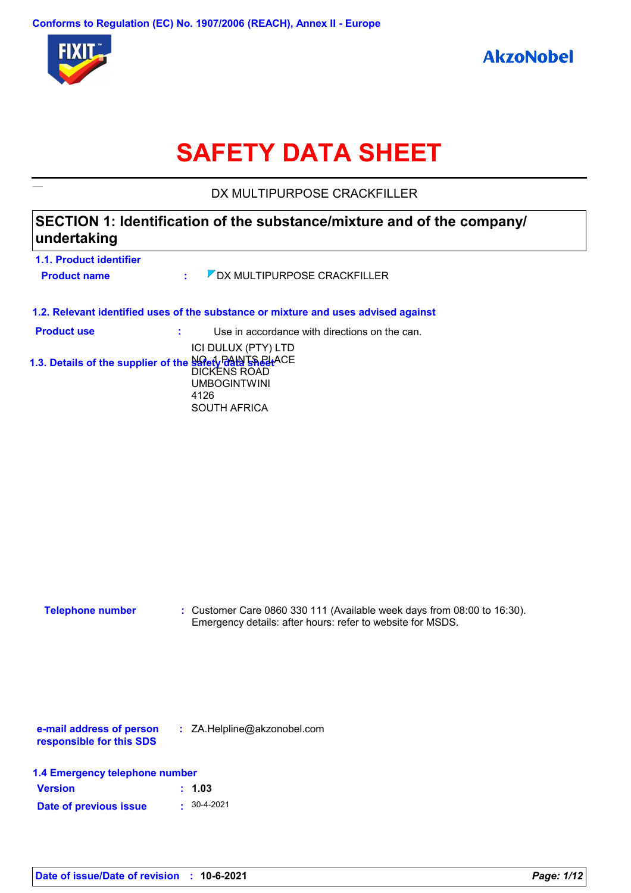

# **SAFETY DATA SHEET**

DX MULTIPURPOSE CRACKFILLER

## **SECTION 1: Identification of the substance/mixture and of the company/ undertaking**

| 1.1. Product identifier                                   |      |                                                                                          |
|-----------------------------------------------------------|------|------------------------------------------------------------------------------------------|
| <b>Product name</b>                                       | ÷.   | DX MULTIPURPOSE CRACKFILLER                                                              |
|                                                           |      | 1.2. Relevant identified uses of the substance or mixture and uses advised against       |
| <b>Product use</b>                                        |      | Use in accordance with directions on the can.                                            |
| 1.3. Details of the supplier of the Salety Prate Line ACE | 4126 | ICI DULUX (PTY) LTD<br><b>DICKENS ROAD</b><br><b>UMBOGINTWINI</b><br><b>SOUTH AFRICA</b> |
|                                                           |      |                                                                                          |

| Telephone number | : Customer Care 0860 330 111 (Available week days from 08:00 to 16:30). |
|------------------|-------------------------------------------------------------------------|
|                  | Emergency details: after hours: refer to website for MSDS.              |

**e-mail address of person responsible for this SDS :** ZA.Helpline@akzonobel.com

| <b>Version</b>         | : 1.03           |
|------------------------|------------------|
| Date of previous issue | $\div$ 30-4-2021 |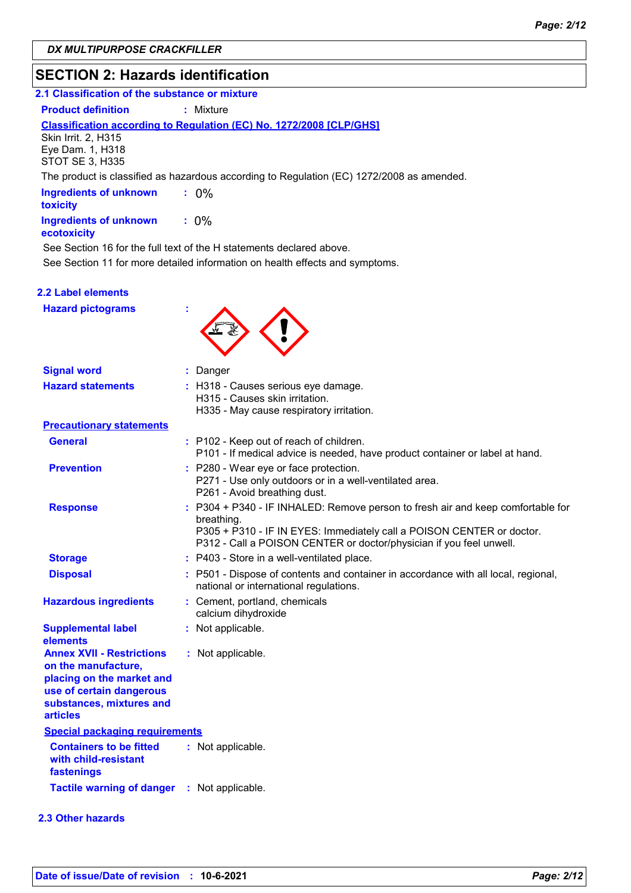## **SECTION 2: Hazards identification**

## **2.1 Classification of the substance or mixture**

**Product definition : Mixture** 

### **Classification according to Regulation (EC) No. 1272/2008 [CLP/GHS]**

Skin Irrit. 2, H315 Eye Dam. 1, H318 STOT SE 3, H335

The product is classified as hazardous according to Regulation (EC) 1272/2008 as amended.

| <b>Ingredients of unknown</b><br>toxicity    | $: 0\%$ |
|----------------------------------------------|---------|
| <b>Ingredients of unknown</b><br>ecotoxicity | $: 0\%$ |

See Section 16 for the full text of the H statements declared above.

See Section 11 for more detailed information on health effects and symptoms.

### **2.2 Label elements**

**Hazard pictograms :**



| <b>Signal word</b>                                                                                                                                              | : Danger                                                                                                                                                                                                                                      |
|-----------------------------------------------------------------------------------------------------------------------------------------------------------------|-----------------------------------------------------------------------------------------------------------------------------------------------------------------------------------------------------------------------------------------------|
| <b>Hazard statements</b>                                                                                                                                        | : H318 - Causes serious eye damage.<br>H315 - Causes skin irritation.<br>H335 - May cause respiratory irritation.                                                                                                                             |
| <b>Precautionary statements</b>                                                                                                                                 |                                                                                                                                                                                                                                               |
| <b>General</b>                                                                                                                                                  | : P102 - Keep out of reach of children.<br>P101 - If medical advice is needed, have product container or label at hand.                                                                                                                       |
| <b>Prevention</b>                                                                                                                                               | : P280 - Wear eye or face protection.<br>P271 - Use only outdoors or in a well-ventilated area.<br>P261 - Avoid breathing dust.                                                                                                               |
| <b>Response</b>                                                                                                                                                 | : P304 + P340 - IF INHALED: Remove person to fresh air and keep comfortable for<br>breathing.<br>P305 + P310 - IF IN EYES: Immediately call a POISON CENTER or doctor.<br>P312 - Call a POISON CENTER or doctor/physician if you feel unwell. |
| <b>Storage</b>                                                                                                                                                  | : P403 - Store in a well-ventilated place.                                                                                                                                                                                                    |
| <b>Disposal</b>                                                                                                                                                 | : P501 - Dispose of contents and container in accordance with all local, regional,<br>national or international regulations.                                                                                                                  |
| <b>Hazardous ingredients</b>                                                                                                                                    | : Cement, portland, chemicals<br>calcium dihydroxide                                                                                                                                                                                          |
| <b>Supplemental label</b><br>elements                                                                                                                           | : Not applicable.                                                                                                                                                                                                                             |
| <b>Annex XVII - Restrictions</b><br>on the manufacture,<br>placing on the market and<br>use of certain dangerous<br>substances, mixtures and<br><b>articles</b> | : Not applicable.                                                                                                                                                                                                                             |
| <b>Special packaging requirements</b>                                                                                                                           |                                                                                                                                                                                                                                               |
| <b>Containers to be fitted</b><br>with child-resistant<br>fastenings                                                                                            | : Not applicable.                                                                                                                                                                                                                             |
| <b>Tactile warning of danger</b>                                                                                                                                | : Not applicable.                                                                                                                                                                                                                             |
| <b>2.3 Other hazards</b>                                                                                                                                        |                                                                                                                                                                                                                                               |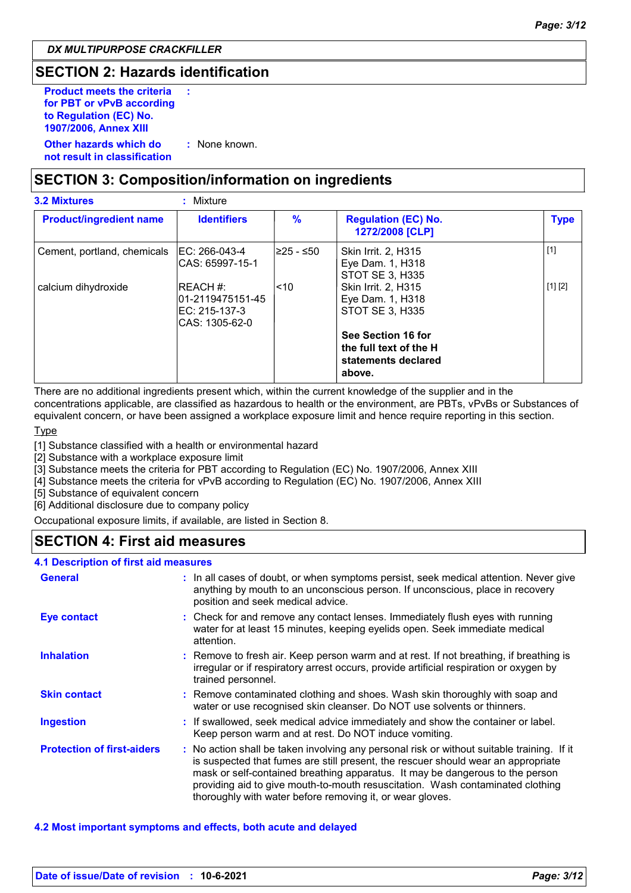## **SECTION 2: Hazards identification**

| <b>Product meets the criteria</b><br>for PBT or vPvB according<br>to Regulation (EC) No.<br>1907/2006, Annex XIII | ÷             |
|-------------------------------------------------------------------------------------------------------------------|---------------|
| Other hazards which do<br>not result in classification                                                            | : None known. |

## **SECTION 3: Composition/information on ingredients**

| <b>3.2 Mixtures</b>            | Mixture                                                             |            |                                                                               |             |
|--------------------------------|---------------------------------------------------------------------|------------|-------------------------------------------------------------------------------|-------------|
| <b>Product/ingredient name</b> | <b>Identifiers</b>                                                  | $\%$       | <b>Regulation (EC) No.</b><br>1272/2008 [CLP]                                 | <b>Type</b> |
| Cement, portland, chemicals    | IEC: 266-043-4<br>ICAS: 65997-15-1                                  | l≥25 - ≤50 | Skin Irrit. 2, H315<br>Eye Dam. 1, H318<br>STOT SE 3. H335                    | $[1]$       |
| calcium dihydroxide            | IREACH #:<br>l01-2119475151-45<br>IEC: 215-137-3<br>ICAS: 1305-62-0 | l<10       | Skin Irrit. 2, H315<br>Eye Dam. 1, H318<br>STOT SE 3, H335                    | [1] [2]     |
|                                |                                                                     |            | See Section 16 for<br>the full text of the H<br>statements declared<br>above. |             |

There are no additional ingredients present which, within the current knowledge of the supplier and in the concentrations applicable, are classified as hazardous to health or the environment, are PBTs, vPvBs or Substances of equivalent concern, or have been assigned a workplace exposure limit and hence require reporting in this section.

**Type** 

[1] Substance classified with a health or environmental hazard

[2] Substance with a workplace exposure limit

[3] Substance meets the criteria for PBT according to Regulation (EC) No. 1907/2006, Annex XIII

[4] Substance meets the criteria for vPvB according to Regulation (EC) No. 1907/2006, Annex XIII

[5] Substance of equivalent concern

[6] Additional disclosure due to company policy

Occupational exposure limits, if available, are listed in Section 8.

## **SECTION 4: First aid measures**

### **4.1 Description of first aid measures**

| <b>General</b>                    | : In all cases of doubt, or when symptoms persist, seek medical attention. Never give<br>anything by mouth to an unconscious person. If unconscious, place in recovery<br>position and seek medical advice.                                                                                                                                                                                                     |
|-----------------------------------|-----------------------------------------------------------------------------------------------------------------------------------------------------------------------------------------------------------------------------------------------------------------------------------------------------------------------------------------------------------------------------------------------------------------|
| <b>Eye contact</b>                | : Check for and remove any contact lenses. Immediately flush eyes with running<br>water for at least 15 minutes, keeping eyelids open. Seek immediate medical<br>attention.                                                                                                                                                                                                                                     |
| <b>Inhalation</b>                 | : Remove to fresh air. Keep person warm and at rest. If not breathing, if breathing is<br>irregular or if respiratory arrest occurs, provide artificial respiration or oxygen by<br>trained personnel.                                                                                                                                                                                                          |
| <b>Skin contact</b>               | : Remove contaminated clothing and shoes. Wash skin thoroughly with soap and<br>water or use recognised skin cleanser. Do NOT use solvents or thinners.                                                                                                                                                                                                                                                         |
| <b>Ingestion</b>                  | : If swallowed, seek medical advice immediately and show the container or label.<br>Keep person warm and at rest. Do NOT induce vomiting.                                                                                                                                                                                                                                                                       |
| <b>Protection of first-aiders</b> | : No action shall be taken involving any personal risk or without suitable training. If it<br>is suspected that fumes are still present, the rescuer should wear an appropriate<br>mask or self-contained breathing apparatus. It may be dangerous to the person<br>providing aid to give mouth-to-mouth resuscitation. Wash contaminated clothing<br>thoroughly with water before removing it, or wear gloves. |

#### **4.2 Most important symptoms and effects, both acute and delayed**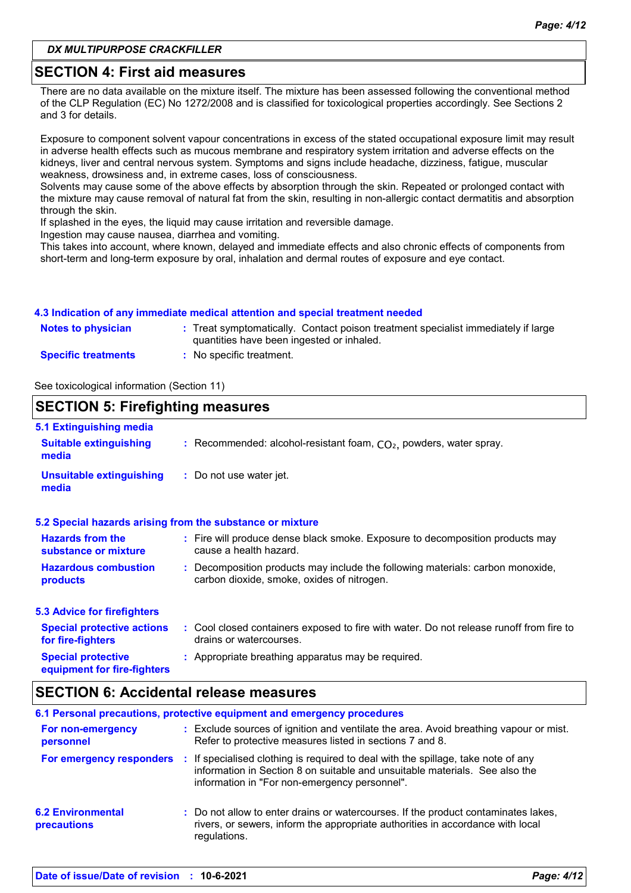### *DX MULTIPURPOSE CRACKFILLER*

## **SECTION 4: First aid measures**

There are no data available on the mixture itself. The mixture has been assessed following the conventional method of the CLP Regulation (EC) No 1272/2008 and is classified for toxicological properties accordingly. See Sections 2 and 3 for details.

Exposure to component solvent vapour concentrations in excess of the stated occupational exposure limit may result in adverse health effects such as mucous membrane and respiratory system irritation and adverse effects on the kidneys, liver and central nervous system. Symptoms and signs include headache, dizziness, fatigue, muscular weakness, drowsiness and, in extreme cases, loss of consciousness.

Solvents may cause some of the above effects by absorption through the skin. Repeated or prolonged contact with the mixture may cause removal of natural fat from the skin, resulting in non-allergic contact dermatitis and absorption through the skin.

If splashed in the eyes, the liquid may cause irritation and reversible damage.

Ingestion may cause nausea, diarrhea and vomiting.

This takes into account, where known, delayed and immediate effects and also chronic effects of components from short-term and long-term exposure by oral, inhalation and dermal routes of exposure and eye contact.

### **4.3 Indication of any immediate medical attention and special treatment needed**

| <b>Notes to physician</b>  | : Treat symptomatically. Contact poison treatment specialist immediately if large<br>quantities have been ingested or inhaled. |
|----------------------------|--------------------------------------------------------------------------------------------------------------------------------|
| <b>Specific treatments</b> | No specific treatment.                                                                                                         |

See toxicological information (Section 11)

### **SECTION 5: Firefighting measures** Recommended: alcohol-resistant foam, CO₂, powders, water spray. **: :** Do not use water jet. **5.1 Extinguishing media Suitable extinguishing media Unsuitable extinguishing media**

|                                                          | 5.2 Special hazards arising from the substance or mixture                               |
|----------------------------------------------------------|-----------------------------------------------------------------------------------------|
| <b>Hazards from the</b>                                  | : Fire will produce dense black smoke. Exposure to decomposition products may           |
| substance or mixture                                     | cause a health hazard.                                                                  |
| <b>Hazardous combustion</b>                              | : Decomposition products may include the following materials: carbon monoxide,          |
| products                                                 | carbon dioxide, smoke, oxides of nitrogen.                                              |
| <b>5.3 Advice for firefighters</b>                       |                                                                                         |
| <b>Special protective actions</b>                        | : Cool closed containers exposed to fire with water. Do not release runoff from fire to |
| for fire-fighters                                        | drains or watercourses.                                                                 |
| <b>Special protective</b><br>equipment for fire-fighters | : Appropriate breathing apparatus may be required.                                      |

## **SECTION 6: Accidental release measures**

|                                         | 6.1 Personal precautions, protective equipment and emergency procedures                                                                                                                                           |
|-----------------------------------------|-------------------------------------------------------------------------------------------------------------------------------------------------------------------------------------------------------------------|
| For non-emergency<br>personnel          | : Exclude sources of ignition and ventilate the area. Avoid breathing vapour or mist.<br>Refer to protective measures listed in sections 7 and 8.                                                                 |
| For emergency responders                | : If specialised clothing is required to deal with the spillage, take note of any<br>information in Section 8 on suitable and unsuitable materials. See also the<br>information in "For non-emergency personnel". |
| <b>6.2 Environmental</b><br>precautions | : Do not allow to enter drains or watercourses. If the product contaminates lakes,<br>rivers, or sewers, inform the appropriate authorities in accordance with local<br>regulations.                              |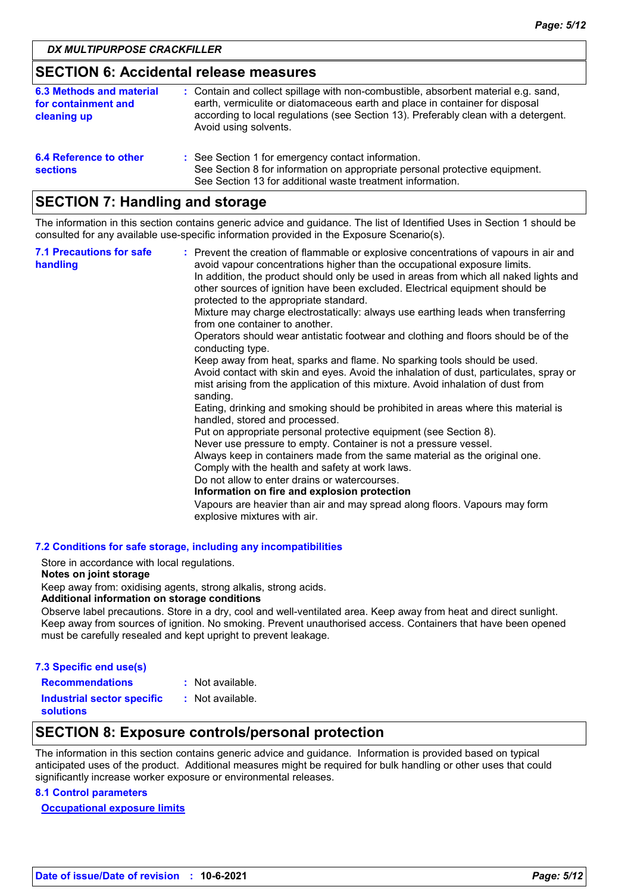## **SECTION 6: Accidental release measures**

| 6.3 Methods and material<br>for containment and<br>cleaning up | : Contain and collect spillage with non-combustible, absorbent material e.g. sand,<br>earth, vermiculite or diatomaceous earth and place in container for disposal<br>according to local regulations (see Section 13). Preferably clean with a detergent.<br>Avoid using solvents. |
|----------------------------------------------------------------|------------------------------------------------------------------------------------------------------------------------------------------------------------------------------------------------------------------------------------------------------------------------------------|
| 6.4 Reference to other<br><b>sections</b>                      | : See Section 1 for emergency contact information.<br>See Section 8 for information on appropriate personal protective equipment.<br>See Section 13 for additional waste treatment information.                                                                                    |

## **SECTION 7: Handling and storage**

The information in this section contains generic advice and guidance. The list of Identified Uses in Section 1 should be consulted for any available use-specific information provided in the Exposure Scenario(s).

| <b>7.1 Precautions for safe</b><br>handling | : Prevent the creation of flammable or explosive concentrations of vapours in air and<br>avoid vapour concentrations higher than the occupational exposure limits.<br>In addition, the product should only be used in areas from which all naked lights and<br>other sources of ignition have been excluded. Electrical equipment should be<br>protected to the appropriate standard.<br>Mixture may charge electrostatically: always use earthing leads when transferring<br>from one container to another.<br>Operators should wear antistatic footwear and clothing and floors should be of the<br>conducting type.<br>Keep away from heat, sparks and flame. No sparking tools should be used.<br>Avoid contact with skin and eyes. Avoid the inhalation of dust, particulates, spray or<br>mist arising from the application of this mixture. Avoid inhalation of dust from<br>sanding.<br>Eating, drinking and smoking should be prohibited in areas where this material is<br>handled, stored and processed.<br>Put on appropriate personal protective equipment (see Section 8).<br>Never use pressure to empty. Container is not a pressure vessel.<br>Always keep in containers made from the same material as the original one.<br>Comply with the health and safety at work laws.<br>Do not allow to enter drains or watercourses.<br>Information on fire and explosion protection<br>Vapours are heavier than air and may spread along floors. Vapours may form<br>explosive mixtures with air. |
|---------------------------------------------|--------------------------------------------------------------------------------------------------------------------------------------------------------------------------------------------------------------------------------------------------------------------------------------------------------------------------------------------------------------------------------------------------------------------------------------------------------------------------------------------------------------------------------------------------------------------------------------------------------------------------------------------------------------------------------------------------------------------------------------------------------------------------------------------------------------------------------------------------------------------------------------------------------------------------------------------------------------------------------------------------------------------------------------------------------------------------------------------------------------------------------------------------------------------------------------------------------------------------------------------------------------------------------------------------------------------------------------------------------------------------------------------------------------------------------------------------------------------------------------------------------------|
|---------------------------------------------|--------------------------------------------------------------------------------------------------------------------------------------------------------------------------------------------------------------------------------------------------------------------------------------------------------------------------------------------------------------------------------------------------------------------------------------------------------------------------------------------------------------------------------------------------------------------------------------------------------------------------------------------------------------------------------------------------------------------------------------------------------------------------------------------------------------------------------------------------------------------------------------------------------------------------------------------------------------------------------------------------------------------------------------------------------------------------------------------------------------------------------------------------------------------------------------------------------------------------------------------------------------------------------------------------------------------------------------------------------------------------------------------------------------------------------------------------------------------------------------------------------------|

### **7.2 Conditions for safe storage, including any incompatibilities**

Store in accordance with local regulations.

#### **Notes on joint storage**

Keep away from: oxidising agents, strong alkalis, strong acids.

### **Additional information on storage conditions**

Observe label precautions. Store in a dry, cool and well-ventilated area. Keep away from heat and direct sunlight. Keep away from sources of ignition. No smoking. Prevent unauthorised access. Containers that have been opened must be carefully resealed and kept upright to prevent leakage.

| 7.3 Specific end use(s)                               |                  |
|-------------------------------------------------------|------------------|
| <b>Recommendations</b>                                | : Not available. |
| <b>Industrial sector specific</b><br><b>solutions</b> | : Not available. |

## **SECTION 8: Exposure controls/personal protection**

The information in this section contains generic advice and guidance. Information is provided based on typical anticipated uses of the product. Additional measures might be required for bulk handling or other uses that could significantly increase worker exposure or environmental releases.

### **8.1 Control parameters**

**Occupational exposure limits**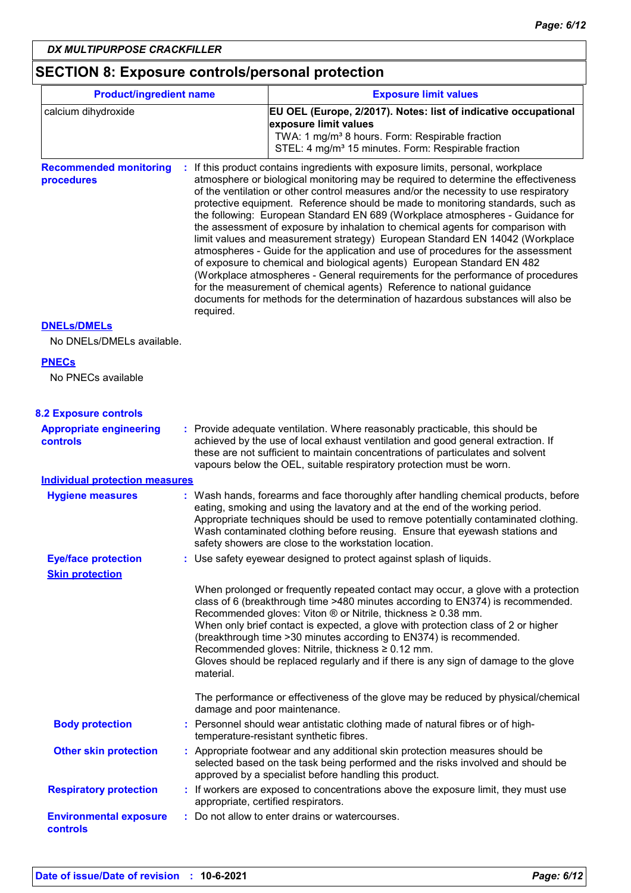## **SECTION 8: Exposure controls/personal protection**

| <b>Product/ingredient name</b>                    |           | <b>Exposure limit values</b>                                                                                                                                                                                                                                                                                                                                                                                                                                                                                                                                                                                                                                                                                                                                                                                                                                                                                                                                                                                          |
|---------------------------------------------------|-----------|-----------------------------------------------------------------------------------------------------------------------------------------------------------------------------------------------------------------------------------------------------------------------------------------------------------------------------------------------------------------------------------------------------------------------------------------------------------------------------------------------------------------------------------------------------------------------------------------------------------------------------------------------------------------------------------------------------------------------------------------------------------------------------------------------------------------------------------------------------------------------------------------------------------------------------------------------------------------------------------------------------------------------|
| calcium dihydroxide                               |           | EU OEL (Europe, 2/2017). Notes: list of indicative occupational<br>exposure limit values<br>TWA: 1 mg/m <sup>3</sup> 8 hours. Form: Respirable fraction<br>STEL: 4 mg/m <sup>3</sup> 15 minutes. Form: Respirable fraction                                                                                                                                                                                                                                                                                                                                                                                                                                                                                                                                                                                                                                                                                                                                                                                            |
| <b>Recommended monitoring</b><br>procedures       | required. | : If this product contains ingredients with exposure limits, personal, workplace<br>atmosphere or biological monitoring may be required to determine the effectiveness<br>of the ventilation or other control measures and/or the necessity to use respiratory<br>protective equipment. Reference should be made to monitoring standards, such as<br>the following: European Standard EN 689 (Workplace atmospheres - Guidance for<br>the assessment of exposure by inhalation to chemical agents for comparison with<br>limit values and measurement strategy) European Standard EN 14042 (Workplace<br>atmospheres - Guide for the application and use of procedures for the assessment<br>of exposure to chemical and biological agents) European Standard EN 482<br>(Workplace atmospheres - General requirements for the performance of procedures<br>for the measurement of chemical agents) Reference to national guidance<br>documents for methods for the determination of hazardous substances will also be |
| <b>DNELs/DMELs</b>                                |           |                                                                                                                                                                                                                                                                                                                                                                                                                                                                                                                                                                                                                                                                                                                                                                                                                                                                                                                                                                                                                       |
| No DNELs/DMELs available.                         |           |                                                                                                                                                                                                                                                                                                                                                                                                                                                                                                                                                                                                                                                                                                                                                                                                                                                                                                                                                                                                                       |
| <b>PNECs</b><br>No PNECs available                |           |                                                                                                                                                                                                                                                                                                                                                                                                                                                                                                                                                                                                                                                                                                                                                                                                                                                                                                                                                                                                                       |
| <b>8.2 Exposure controls</b>                      |           |                                                                                                                                                                                                                                                                                                                                                                                                                                                                                                                                                                                                                                                                                                                                                                                                                                                                                                                                                                                                                       |
| <b>Appropriate engineering</b><br><b>controls</b> |           | : Provide adequate ventilation. Where reasonably practicable, this should be<br>achieved by the use of local exhaust ventilation and good general extraction. If<br>these are not sufficient to maintain concentrations of particulates and solvent<br>vapours below the OEL, suitable respiratory protection must be worn.                                                                                                                                                                                                                                                                                                                                                                                                                                                                                                                                                                                                                                                                                           |
| <b>Individual protection measures</b>             |           |                                                                                                                                                                                                                                                                                                                                                                                                                                                                                                                                                                                                                                                                                                                                                                                                                                                                                                                                                                                                                       |
| <b>Hygiene measures</b>                           |           | : Wash hands, forearms and face thoroughly after handling chemical products, before<br>eating, smoking and using the lavatory and at the end of the working period.<br>Appropriate techniques should be used to remove potentially contaminated clothing.<br>Wash contaminated clothing before reusing. Ensure that eyewash stations and<br>safety showers are close to the workstation location.                                                                                                                                                                                                                                                                                                                                                                                                                                                                                                                                                                                                                     |
| <b>Eye/face protection</b>                        |           | : Use safety eyewear designed to protect against splash of liquids.                                                                                                                                                                                                                                                                                                                                                                                                                                                                                                                                                                                                                                                                                                                                                                                                                                                                                                                                                   |
| <b>Skin protection</b>                            | material. | When prolonged or frequently repeated contact may occur, a glove with a protection<br>class of 6 (breakthrough time >480 minutes according to EN374) is recommended.<br>Recommended gloves: Viton ® or Nitrile, thickness ≥ 0.38 mm.<br>When only brief contact is expected, a glove with protection class of 2 or higher<br>(breakthrough time > 30 minutes according to EN374) is recommended.<br>Recommended gloves: Nitrile, thickness ≥ 0.12 mm.<br>Gloves should be replaced regularly and if there is any sign of damage to the glove                                                                                                                                                                                                                                                                                                                                                                                                                                                                          |
|                                                   |           | The performance or effectiveness of the glove may be reduced by physical/chemical<br>damage and poor maintenance.                                                                                                                                                                                                                                                                                                                                                                                                                                                                                                                                                                                                                                                                                                                                                                                                                                                                                                     |
| <b>Body protection</b>                            |           | : Personnel should wear antistatic clothing made of natural fibres or of high-<br>temperature-resistant synthetic fibres.                                                                                                                                                                                                                                                                                                                                                                                                                                                                                                                                                                                                                                                                                                                                                                                                                                                                                             |
| <b>Other skin protection</b>                      |           | : Appropriate footwear and any additional skin protection measures should be<br>selected based on the task being performed and the risks involved and should be<br>approved by a specialist before handling this product.                                                                                                                                                                                                                                                                                                                                                                                                                                                                                                                                                                                                                                                                                                                                                                                             |
| <b>Respiratory protection</b>                     |           | : If workers are exposed to concentrations above the exposure limit, they must use<br>appropriate, certified respirators.                                                                                                                                                                                                                                                                                                                                                                                                                                                                                                                                                                                                                                                                                                                                                                                                                                                                                             |
| <b>Environmental exposure</b><br>controls         |           | : Do not allow to enter drains or watercourses.                                                                                                                                                                                                                                                                                                                                                                                                                                                                                                                                                                                                                                                                                                                                                                                                                                                                                                                                                                       |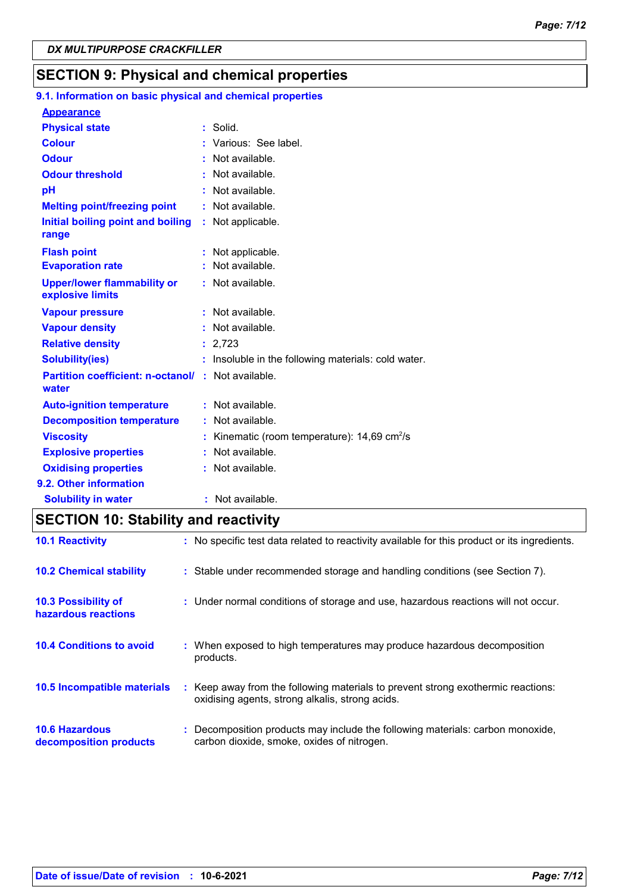## **SECTION 9: Physical and chemical properties**

## **9.1. Information on basic physical and chemical properties**

| <b>Appearance</b>                                                  |                                                            |
|--------------------------------------------------------------------|------------------------------------------------------------|
| <b>Physical state</b>                                              | $:$ Solid.                                                 |
| <b>Colour</b>                                                      | : Various: See label.                                      |
| <b>Odour</b>                                                       | $:$ Not available.                                         |
| <b>Odour threshold</b>                                             | : Not available.                                           |
| pH                                                                 | : Not available.                                           |
| <b>Melting point/freezing point</b>                                | : Not available.                                           |
| Initial boiling point and boiling                                  | : Not applicable.                                          |
| range                                                              |                                                            |
| <b>Flash point</b>                                                 | Not applicable.                                            |
| <b>Evaporation rate</b>                                            | : Not available.                                           |
| <b>Upper/lower flammability or</b><br>explosive limits             | : Not available.                                           |
| <b>Vapour pressure</b>                                             | : Not available.                                           |
| <b>Vapour density</b>                                              | : Not available.                                           |
| <b>Relative density</b>                                            | : 2,723                                                    |
| <b>Solubility(ies)</b>                                             | : Insoluble in the following materials: cold water.        |
| <b>Partition coefficient: n-octanol/ : Not available.</b><br>water |                                                            |
| <b>Auto-ignition temperature</b>                                   | : Not available.                                           |
| <b>Decomposition temperature</b>                                   | : Not available.                                           |
| <b>Viscosity</b>                                                   | : Kinematic (room temperature): $14,69$ cm <sup>2</sup> /s |
| <b>Explosive properties</b>                                        | Not available.                                             |
| <b>Oxidising properties</b>                                        | : Not available.                                           |
| 9.2. Other information                                             |                                                            |
| <b>Solubility in water</b>                                         | : Not available.                                           |

## **SECTION 10: Stability and reactivity**

| <b>10.1 Reactivity</b>                            | : No specific test data related to reactivity available for this product or its ingredients.                                        |
|---------------------------------------------------|-------------------------------------------------------------------------------------------------------------------------------------|
| <b>10.2 Chemical stability</b>                    | : Stable under recommended storage and handling conditions (see Section 7).                                                         |
| <b>10.3 Possibility of</b><br>hazardous reactions | : Under normal conditions of storage and use, hazardous reactions will not occur.                                                   |
| <b>10.4 Conditions to avoid</b>                   | : When exposed to high temperatures may produce hazardous decomposition<br>products.                                                |
| 10.5 Incompatible materials                       | : Keep away from the following materials to prevent strong exothermic reactions:<br>oxidising agents, strong alkalis, strong acids. |
| <b>10.6 Hazardous</b><br>decomposition products   | Decomposition products may include the following materials: carbon monoxide,<br>carbon dioxide, smoke, oxides of nitrogen.          |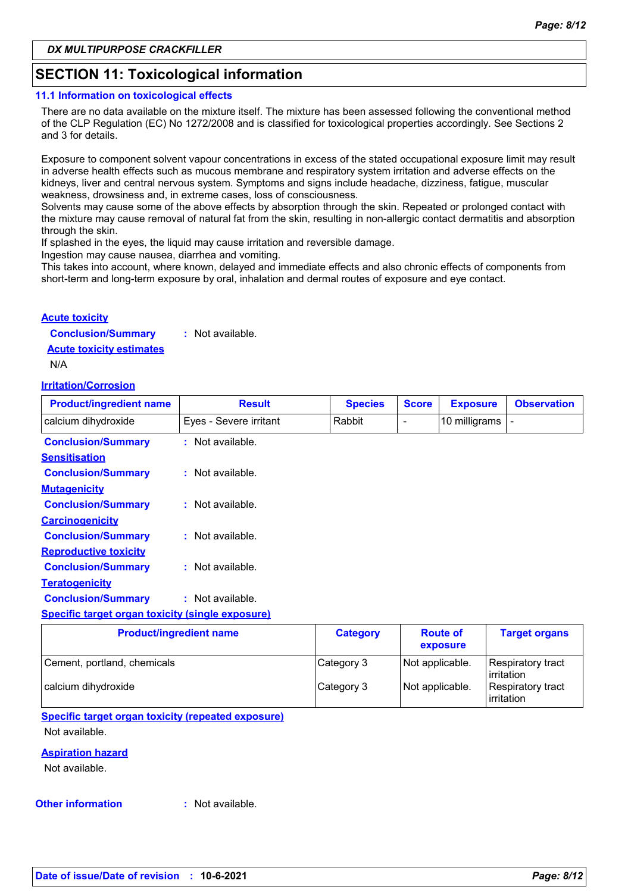## **SECTION 11: Toxicological information**

### **11.1 Information on toxicological effects**

There are no data available on the mixture itself. The mixture has been assessed following the conventional method of the CLP Regulation (EC) No 1272/2008 and is classified for toxicological properties accordingly. See Sections 2 and 3 for details.

Exposure to component solvent vapour concentrations in excess of the stated occupational exposure limit may result in adverse health effects such as mucous membrane and respiratory system irritation and adverse effects on the kidneys, liver and central nervous system. Symptoms and signs include headache, dizziness, fatigue, muscular weakness, drowsiness and, in extreme cases, loss of consciousness.

Solvents may cause some of the above effects by absorption through the skin. Repeated or prolonged contact with the mixture may cause removal of natural fat from the skin, resulting in non-allergic contact dermatitis and absorption through the skin.

If splashed in the eyes, the liquid may cause irritation and reversible damage.

Ingestion may cause nausea, diarrhea and vomiting.

This takes into account, where known, delayed and immediate effects and also chronic effects of components from short-term and long-term exposure by oral, inhalation and dermal routes of exposure and eye contact.

### **Acute toxicity**

**Conclusion/Summary :** Not available.

**Acute toxicity estimates**

N/A

### **Irritation/Corrosion**

| <b>Product/ingredient name</b>                          | <b>Result</b>          | <b>Species</b>  | <b>Score</b> | <b>Exposure</b> | <b>Observation</b>   |
|---------------------------------------------------------|------------------------|-----------------|--------------|-----------------|----------------------|
| calcium dihydroxide                                     | Eyes - Severe irritant | Rabbit          | ۰            | 10 milligrams   |                      |
| <b>Conclusion/Summary</b>                               | $:$ Not available.     |                 |              |                 |                      |
| <b>Sensitisation</b>                                    |                        |                 |              |                 |                      |
| <b>Conclusion/Summary</b>                               | : Not available.       |                 |              |                 |                      |
| <b>Mutagenicity</b>                                     |                        |                 |              |                 |                      |
| <b>Conclusion/Summary</b>                               | : Not available.       |                 |              |                 |                      |
| <b>Carcinogenicity</b>                                  |                        |                 |              |                 |                      |
| <b>Conclusion/Summary</b>                               | $:$ Not available.     |                 |              |                 |                      |
| <b>Reproductive toxicity</b>                            |                        |                 |              |                 |                      |
| <b>Conclusion/Summary</b>                               | $:$ Not available.     |                 |              |                 |                      |
| <b>Teratogenicity</b>                                   |                        |                 |              |                 |                      |
| <b>Conclusion/Summary</b>                               | $:$ Not available.     |                 |              |                 |                      |
| <b>Specific target organ toxicity (single exposure)</b> |                        |                 |              |                 |                      |
| <b>Product/ingredient name</b>                          |                        | <b>Category</b> |              | <b>Route of</b> | <b>Target organs</b> |

|                             |            | exposure        |                                        |
|-----------------------------|------------|-----------------|----------------------------------------|
| Cement, portland, chemicals | Category 3 | Not applicable. | <b>Respiratory tract</b><br>irritation |
| calcium dihydroxide         | Category 3 | Not applicable. | <b>Respiratory tract</b><br>irritation |

### **Specific target organ toxicity (repeated exposure)** Not available.

### **Aspiration hazard**

Not available.

### **Other information :**

: Not available.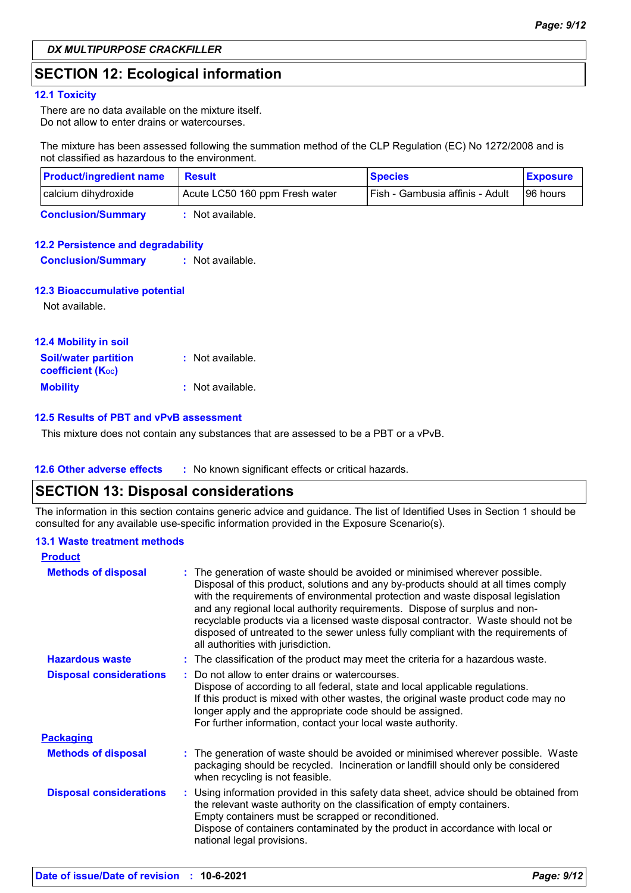## **SECTION 12: Ecological information**

### **12.1 Toxicity**

There are no data available on the mixture itself. Do not allow to enter drains or watercourses.

The mixture has been assessed following the summation method of the CLP Regulation (EC) No 1272/2008 and is not classified as hazardous to the environment.

| <b>Product/ingredient name</b> | <b>Result</b>                  | <b>Species</b>                    | <b>Exposure</b> |
|--------------------------------|--------------------------------|-----------------------------------|-----------------|
| calcium dihydroxide            | Acute LC50 160 ppm Fresh water | l Fish - Gambusia affinis - Adult | 196 hours       |
| <b>Conclusion/Summary</b>      | : Not available.               |                                   |                 |

### **12.2 Persistence and degradability**

**Conclusion/Summary :** Not available.

### **12.3 Bioaccumulative potential**

Not available.

| <b>12.4 Mobility in soil</b>                            |                  |  |
|---------------------------------------------------------|------------------|--|
| <b>Soil/water partition</b><br><b>coefficient (Koc)</b> | : Not available. |  |
| <b>Mobility</b>                                         | : Not available. |  |

### **12.5 Results of PBT and vPvB assessment**

This mixture does not contain any substances that are assessed to be a PBT or a vPvB.

### **12.6 Other adverse effects** : No known significant effects or critical hazards.

## **SECTION 13: Disposal considerations**

The information in this section contains generic advice and guidance. The list of Identified Uses in Section 1 should be consulted for any available use-specific information provided in the Exposure Scenario(s).

### **13.1 Waste treatment methods**

| <b>Product</b>                 |                                                                                                                                                                                                                                                                                                                                                                                                                                                                                                                                                      |  |
|--------------------------------|------------------------------------------------------------------------------------------------------------------------------------------------------------------------------------------------------------------------------------------------------------------------------------------------------------------------------------------------------------------------------------------------------------------------------------------------------------------------------------------------------------------------------------------------------|--|
| <b>Methods of disposal</b>     | : The generation of waste should be avoided or minimised wherever possible.<br>Disposal of this product, solutions and any by-products should at all times comply<br>with the requirements of environmental protection and waste disposal legislation<br>and any regional local authority requirements. Dispose of surplus and non-<br>recyclable products via a licensed waste disposal contractor. Waste should not be<br>disposed of untreated to the sewer unless fully compliant with the requirements of<br>all authorities with jurisdiction. |  |
| <b>Hazardous waste</b>         | : The classification of the product may meet the criteria for a hazardous waste.                                                                                                                                                                                                                                                                                                                                                                                                                                                                     |  |
| <b>Disposal considerations</b> | Do not allow to enter drains or watercourses.<br>Dispose of according to all federal, state and local applicable regulations.<br>If this product is mixed with other wastes, the original waste product code may no<br>longer apply and the appropriate code should be assigned.<br>For further information, contact your local waste authority.                                                                                                                                                                                                     |  |
| <b>Packaging</b>               |                                                                                                                                                                                                                                                                                                                                                                                                                                                                                                                                                      |  |
| <b>Methods of disposal</b>     | : The generation of waste should be avoided or minimised wherever possible. Waste<br>packaging should be recycled. Incineration or landfill should only be considered<br>when recycling is not feasible.                                                                                                                                                                                                                                                                                                                                             |  |
| <b>Disposal considerations</b> | : Using information provided in this safety data sheet, advice should be obtained from<br>the relevant waste authority on the classification of empty containers.<br>Empty containers must be scrapped or reconditioned.<br>Dispose of containers contaminated by the product in accordance with local or<br>national legal provisions.                                                                                                                                                                                                              |  |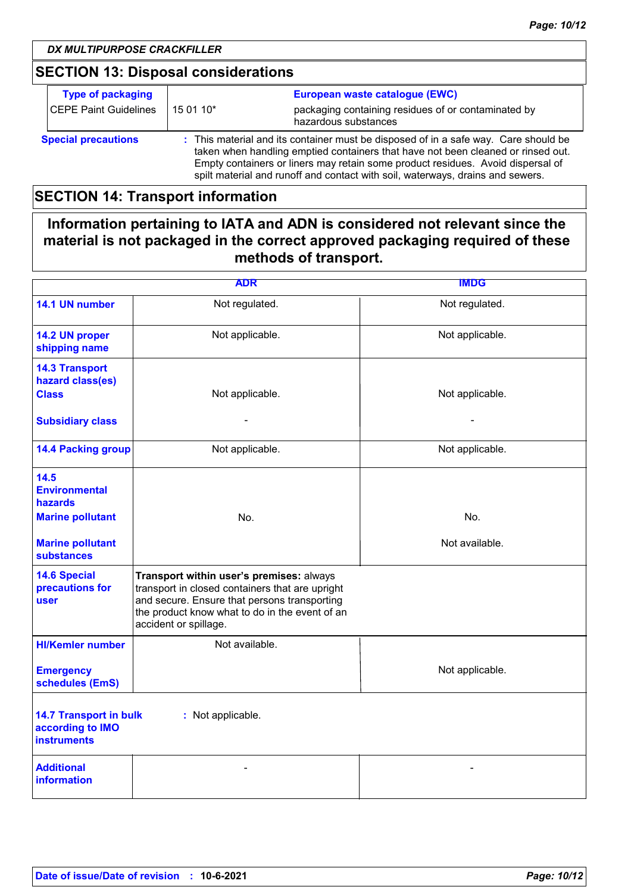## **SECTION 13: Disposal considerations**

| <b>Type of packaging</b>   |                                                                                                                                                                                                                                                                                                                                              | European waste catalogue (EWC)                                              |
|----------------------------|----------------------------------------------------------------------------------------------------------------------------------------------------------------------------------------------------------------------------------------------------------------------------------------------------------------------------------------------|-----------------------------------------------------------------------------|
| CEPE Paint Guidelines      | 15 01 10*                                                                                                                                                                                                                                                                                                                                    | packaging containing residues of or contaminated by<br>hazardous substances |
| <b>Special precautions</b> | : This material and its container must be disposed of in a safe way. Care should be<br>taken when handling emptied containers that have not been cleaned or rinsed out.<br>Empty containers or liners may retain some product residues. Avoid dispersal of<br>spilt material and runoff and contact with soil, waterways, drains and sewers. |                                                                             |

## **SECTION 14: Transport information**

**Information pertaining to IATA and ADN is considered not relevant since the material is not packaged in the correct approved packaging required of these methods of transport.**

| <b>ADR</b>                                                                                   |                                                                                                                                                                                                                        | <b>IMDG</b>     |  |  |
|----------------------------------------------------------------------------------------------|------------------------------------------------------------------------------------------------------------------------------------------------------------------------------------------------------------------------|-----------------|--|--|
| 14.1 UN number                                                                               | Not regulated.                                                                                                                                                                                                         | Not regulated.  |  |  |
| 14.2 UN proper<br>shipping name                                                              | Not applicable.                                                                                                                                                                                                        | Not applicable. |  |  |
| <b>14.3 Transport</b><br>hazard class(es)                                                    |                                                                                                                                                                                                                        |                 |  |  |
| <b>Class</b>                                                                                 | Not applicable.                                                                                                                                                                                                        | Not applicable. |  |  |
| <b>Subsidiary class</b>                                                                      |                                                                                                                                                                                                                        |                 |  |  |
| <b>14.4 Packing group</b>                                                                    | Not applicable.                                                                                                                                                                                                        | Not applicable. |  |  |
| 14.5<br><b>Environmental</b><br>hazards                                                      |                                                                                                                                                                                                                        |                 |  |  |
| <b>Marine pollutant</b>                                                                      | No.                                                                                                                                                                                                                    | No.             |  |  |
| <b>Marine pollutant</b><br><b>substances</b>                                                 |                                                                                                                                                                                                                        | Not available.  |  |  |
| <b>14.6 Special</b><br>precautions for<br>user                                               | Transport within user's premises: always<br>transport in closed containers that are upright<br>and secure. Ensure that persons transporting<br>the product know what to do in the event of an<br>accident or spillage. |                 |  |  |
| <b>HI/Kemler number</b>                                                                      | Not available.                                                                                                                                                                                                         |                 |  |  |
| <b>Emergency</b><br>schedules (EmS)                                                          |                                                                                                                                                                                                                        | Not applicable. |  |  |
| <b>14.7 Transport in bulk</b><br>: Not applicable.<br>according to IMO<br><b>instruments</b> |                                                                                                                                                                                                                        |                 |  |  |
| <b>Additional</b><br><b>information</b>                                                      |                                                                                                                                                                                                                        |                 |  |  |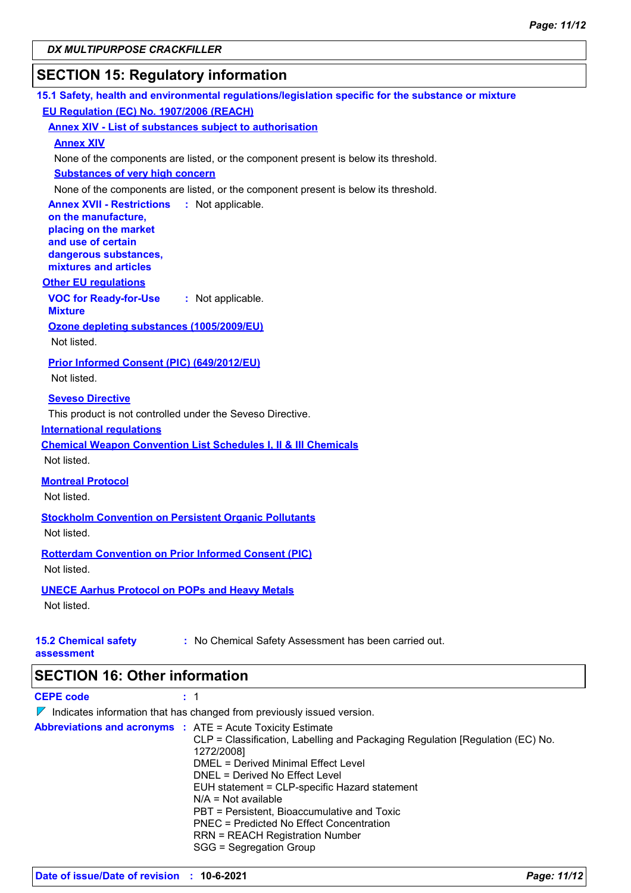## **SECTION 15: Regulatory information**

| 15.1 Safety, health and environmental regulations/legislation specific for the substance or mixture |
|-----------------------------------------------------------------------------------------------------|
| EU Regulation (EC) No. 1907/2006 (REACH)                                                            |
| <b>Annex XIV - List of substances subject to authorisation</b>                                      |
| <b>Annex XIV</b>                                                                                    |
| None of the components are listed, or the component present is below its threshold.                 |
| <b>Substances of very high concern</b>                                                              |
| None of the components are listed, or the component present is below its threshold.                 |
| <b>Annex XVII - Restrictions</b><br>: Not applicable.                                               |
| on the manufacture,                                                                                 |
| placing on the market                                                                               |
| and use of certain                                                                                  |
| dangerous substances,<br>mixtures and articles                                                      |
| <b>Other EU regulations</b>                                                                         |
|                                                                                                     |
| <b>VOC for Ready-for-Use</b><br>: Not applicable.<br><b>Mixture</b>                                 |
| Ozone depleting substances (1005/2009/EU)                                                           |
| Not listed.                                                                                         |
|                                                                                                     |
| <b>Prior Informed Consent (PIC) (649/2012/EU)</b>                                                   |
| Not listed.                                                                                         |
| <b>Seveso Directive</b>                                                                             |
| This product is not controlled under the Seveso Directive.                                          |
| <b>International requlations</b>                                                                    |
| <b>Chemical Weapon Convention List Schedules I, II &amp; III Chemicals</b>                          |
| Not listed.                                                                                         |
|                                                                                                     |
| <b>Montreal Protocol</b>                                                                            |
| Not listed.                                                                                         |
| <b>Stockholm Convention on Persistent Organic Pollutants</b>                                        |
| Not listed.                                                                                         |
|                                                                                                     |
| <b>Rotterdam Convention on Prior Informed Consent (PIC)</b>                                         |
| Not listed.                                                                                         |
| <b>UNECE Aarhus Protocol on POPs and Heavy Metals</b>                                               |
| Not listed.                                                                                         |
|                                                                                                     |
| <b>15.2 Chemical safety</b><br>: No Chemical Safety Assessment has been carried out.                |
| assessment                                                                                          |
|                                                                                                     |
| <b>SECTION 16: Other information</b>                                                                |
| <b>CEPE code</b><br>: 1                                                                             |
| $\nabla$ Indicates information that has changed from previously issued version.                     |
| <b>Abbreviations and acronyms : ATE = Acute Toxicity Estimate</b>                                   |
| CLP = Classification, Labelling and Packaging Regulation [Regulation (EC) No.                       |
| 1272/2008]<br><b>DMEL = Derived Minimal Effect Level</b>                                            |
| DNEL = Derived No Effect Level                                                                      |
|                                                                                                     |

EUH statement = CLP-specific Hazard statement

N/A = Not available

PBT = Persistent, Bioaccumulative and Toxic

PNEC = Predicted No Effect Concentration

RRN = REACH Registration Number

```
SGG = Segregation Group
```